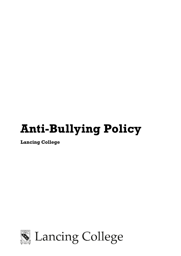# **Anti-Bullying Policy**

**Lancing College** 

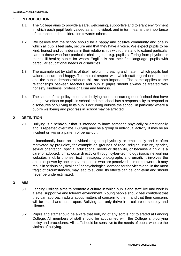# **1 INTRODUCTION**

- 1.1 The College aims to provide a safe, welcoming, supportive and tolerant environment in which each pupil feels valued as an individual, and in turn, learns the importance of tolerance and consideration towards others.
- 1.2 We believe that the school should be a happy and positive community and one in which all pupils feel safe, secure and that they have a voice. We expect pupils to be kind, honest and considerate in their relationships with others and to extend particular care to those who face particular challenges – e.g. pupils suffering from physical or mental ill-health; pupils for whom English is not their first language; pupils with particular educational needs or disabilities.
- 1.3 The example set by staff is of itself helpful in creating a climate in which pupils feel valued, secure and happy. The mutual respect with which staff regard one another and the public demonstration of this are both important. The same applies to the relationships between teachers and pupils: pupils should always be treated with honesty, kindness, professionalism and fairness.
- 1.4 The scope of this policy extends to bullying actions occurring out of school that have a negative effect on pupils in school and the school has a responsibility to respond to disclosures of bullying to its pupils occurring outside the school, in particular where a pupil's wellbeing and progress in school may be affected.

#### **2 DEFINITION**

2.1 Bullying is a behaviour that is intended to harm someone physically or emotionally and is repeated over time. Bullying may be a group or individual activity; it may be an incident or two or a pattern of behaviour.

It intentionally hurts an individual or group physically or emotionally and is often motivated by prejudice, for example on grounds of race, religion, culture, gender, sexual orientation, special educational needs or disability, or because a child is a carer or adopted. It may occur directly or through cyber-technology (social networking websites, mobile phones, text messages, photographs and email). It involves the abuse of power by one or several people who are perceived as more powerful. It may result in serious physical and/ or psychological damage for the victim and, in the most tragic of circumstances, may lead to suicide. Its effects can be long-term and should never be underestimated.

#### **3 AIM**

- 3.1 Lancing College aims to promote a culture in which pupils and staff live and work in a safe, supportive and tolerant environment. Young people should feel confident that they can approach adults about matters of concern to them, and that their concerns will be heard and acted upon. Bullying can only thrive in a culture of secrecy and silence.
- 3.2 Pupils and staff should be aware that bullying of any sort is not tolerated at Lancing College. All members of staff should be acquainted with the College anti-bullying policy and procedures. All staff should be sensitive to the needs of pupils who are the victims of bullying.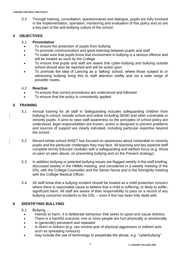3.3 Through training, consultation, questionnaires and dialogue, pupils are fully involved in the implementation, operation, monitoring and evaluation of this policy and so are a key part of the anti-bullying culture of the school.

# **4 OBJECTIVES**

#### 4.1 **Preventative**

- To ensure the protection of pupils from bullying
- To promote communication and good listening between pupils and staff
- To make sure that pupils know that involvement in bullying is a serious offence and will be treated as such by the College
- To ensure that pupils and staff are aware that cyber-bullying and bullying outside school should also be reported and will be acted upon
- To promote the idea of Lancing as a 'talking' school, where those subject to or witnessing bullying bring this to staff attention swiftly and via a wide range of possible routes**.**

#### 4.2 **Reactive**

- To ensure that correct procedures are understood and followed
- To ensure that the policy is consistently applied

# **5 TRAINING**

- 5.1 Annual training for all staff in Safeguarding includes safeguarding children from bullying in school, outside school and online including SEND and other vulnerable or minority pupils. It aims to raise staff awareness so the principles of school policy are understood, legal responsibilities are known, action is designed to prevent problems and sources of support are clearly indicated, including particular expertise beyond the school.
- 5.2 Recent whole-school INSET has focused on awareness about vulnerable or minority pupils and the particular challenges they may face. All teaching and key pastoral staff complete termly Educare modules with a safeguarding and welfare focus (e.g. those on peer on peer abuse, on preventing bullying and on the Prevent strategy).
- 5.3 In addition bullying or potential bullying issues are flagged weekly in the staff briefing; discussed weekly in the HMMs meeting, and considered in a weekly meeting of the DSL with the College Counsellor and the Senior Nurse and in the fortnightly meeting with the College Medical Officer.
- 5.4 All staff know that a bullying incident should be treated as a child protection concern where there is reasonable cause to believe that a child is suffering, or likely to suffer, significant harm. All staff are aware of their responsibility to pass on a record of any bullying concerns/ incidents to the DSL – even if this has been fully dealt with.

# **6 IDENTIFYING BULLYING**

- 6.1 Bullying …
	- Intends to harm: it is deliberate behaviour that seeks to upset and cause distress
	- There is a harmful outcome: one or more people are hurt physically or emotionally
	- Is (generally) persistent and repeated
	- Is direct or indirect (e.g. can involve acts of physical aggression or indirect acts such as spreading rumours)
	- may include the use of technology to perpetrate the abuse, e.g. "cyberbullying"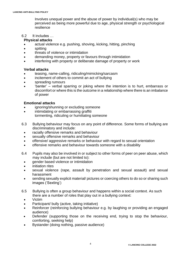Involves unequal power and the abuse of power by individual(s) who may be perceived as being more powerful due to age, physical strength or psychological resilience

#### 6.2 It includes …

#### **Physical attacks**

- actual violence e.g. pushing, shoving, kicking, hitting, pinching
- spitting
- threats of violence or intimidation
- demanding money, property or favours through intimidation
- interfering with property or deliberate damage of property or work

#### **Verbal attacks**

- teasing, name-calling, ridiculing/mimicking/sarcasm
- incitement of others to commit an act of bullying
- spreading rumours
- 'banter' verbal sparring or joking where the intention is to hurt, embarrass or discomfort or where this is the outcome in a relationship where there is an imbalance of power

#### **Emotional attacks**

- ignoring/shunning or excluding someone
- intimidating or embarrassing graffiti tormenting, ridiculing or humiliating someone
- 6.3 Bullying behaviour may focus on any point of difference. Some forms of bullying are discriminatory and include:
	- racially offensive remarks and behaviour
	- sexually offensive remarks and behaviour
	- offensive/ aggressive remarks or behaviour with regard to sexual orientation
	- offensive remarks and behaviour towards someone with a disability
- 6.4 Pupils may also be involved in or subject to other forms of peer on peer abuse, which may include (but are not limited to):
	- gender based violence or intimidation
	- initiation rites
	- sexual violence (rape, assault by penetration and sexual assault) and sexual harassment
	- sending sexually explicit material/ pictures or coercing others to do so or sharing such images ('Sexting')
- 6.5 Bullying is often a group behaviour and happens within a social context. As such there are a number of roles that play out in a bullying context:
	- Victim
	- Participant/ bully (active, taking initiative)
	- Reinforcer (reinforcing bullying behaviour e.g. by laughing or providing an engaged audience)
	- Defender (supporting those on the receiving end, trying to stop the behaviour, comforting, seeking help)
	- Bystander (doing nothing, passive audience)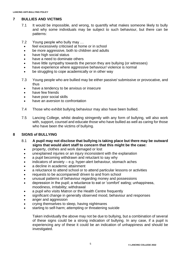# **7 BULLIES AND VICTIMS**

- 7.1 It would be impossible, and wrong, to quantify what makes someone likely to bully and why some individuals may be subject to such behaviour, but there can be patterns:
- 7.2 Young people who bully may …
	- feel excessively criticised at home or in school
- be more aggressive, both to children and adults
- have high social status
- have a need to dominate others
- have little sympathy towards the person they are bullying (or witnesses)
- have experience where aggressive behaviour/ violence is normal
- be struggling to cope academically or in other way
- 7.3 Young people who are bullied may be either passive/ submissive or provocative, and thus
	- have a tendency to be anxious or insecure
	- have few friends
	- have poor social skills
	- have an aversion to confrontation
- 7.4 Those who exhibit bullying behaviour may also have been bullied.
- 7.5 Lancing College, whilst dealing stringently with any form of bullying, will also work with, support, counsel and educate those who have bullied as well as caring for those who have been the victims of bullying.

# **8 SIGNS of BULLYING**

- 8.1 **A pupil may not disclose that bullying is taking place but there may be outward signs that would alert staff to concern that this might be the case:**
	- property, clothes and work damaged or lost
	- unexplained injuries or an injury inconsistent with the explanation
	- a pupil becoming withdrawn and reluctant to say why
	- indicators of anxiety e.g. hyper-alert behaviour, stomach aches
	- a decline in academic attainment
	- a reluctance to attend school or to attend particular lessons or activities
	- requests to be accompanied/ driven to and from school
	- unusual patterns of behaviour regarding money and possessions
	- depression in the pupil; a reluctance to eat or 'comfort' eating; unhappiness, moodiness, irritability; withdrawal
	- a pupil who visits Matron or the Health Centre frequently
	- significant change in generally observed mood, behaviour and responses
	- anger and aggression
	- crying themselves to sleep, having nightmares
	- starting to self-harm; attempting or threatening suicide

Taken individually the above may not be due to bullying, but a combination of several of these signs could be a strong indication of bullying. In any case, if a pupil is experiencing any of these it could be an indication of unhappiness and should be investigated.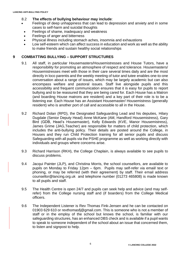# 8.2 **The effects of bullying behaviour may include**:

- Feelings of deep unhappiness that can lead to depression and anxiety and in some cases to self-harm and suicidal thoughts
- Feelings of shame, inadequacy and weakness
- Feelings of anger and bitterness
- Physical illness including stomach aches, insomnia and exhaustions
- Low self-esteem which can affect success in education and work as well as the ability to make friends and sustain healthy social relationships

# **9 COMBATTING BULLYING – SUPPORT STRUCTURES**

- 9.1 All staff, in particular Housemasters/Housemistresses and House Tutors, have a responsibility for promoting an atmosphere of respect and tolerance. Housemasters/ Housemistresses meet with those in their care several times daily and are the most directly in loco parentis and the weekly meeting of tutor and tutee enables one-to-one conversation about a range of issues, which may be largely academic but can also encompass welfare and pastoral issues. Staff live alongside pupils and this accessibility and frequent communication ensures that it is easy for pupils to report bullying and to be reassured that they are being cared for. Each House has a Matron (and boarding House matrons are resident) and a key part of their role is to be a listening ear. Each House has an Assistant Housemaster/ Housemistress (generally resident) who is another port of call and accessible to all in the House.
- 9.2 Richard Dolan (RPD), the Designated Safeguarding Lead and his deputies, Hilary Dugdale (Senior Deputy Head) Anne McKane (AM, Handford Housemistress), Gary Bird (GDB, Head's Housemaster), Kelly Edwards (KVE, Manor Housemistress), James Grime (JAG,Teacher) are responsible for matters of child protection, which includes the anti-bullying policy. Their details are posted around the College, in Houses and they run Child Protection training for all senior pupils and discuss Safeguarding with all pupils via the PSHE programme as well as working directly with individuals and groups where concerns arise.
- 9.3 Richard Harrison (RKH), the College Chaplain, is always available to see pupils to discuss problems.
- 9.4 Jacqui Painter (JLP), and Christina Morris, the school counsellors, are available to pupils on Monday to Friday 12pm – 6pm. Pupils may self-refer via email/ text or phoning, or may be referred (with their agreement) by staff. Their email address counsellor@lancing.org.uk and telephone number (01273 465808) is made known to all pupils and staff.
- 9.5 The Health Centre is open 24/7 and pupils can seek help and advice (and may selfrefer) from the College nursing staff and (if boarders) from the College Medical officers.
- 9.6 The Independent Listener is Rev Thomas Fink-Jensen and he can be contacted on 01903 629 610 or [revthomasfj@gmail.com.](mailto:revthomasfj@gmail.com) This is someone who is not a member of staff or in the employ of the school but knows the school, is familiar with our safeguarding structures, has an enhanced DBS check and is available if a pupil wants to speak to someone independent of the school about an issue that concerned them, to listen and signpost to help.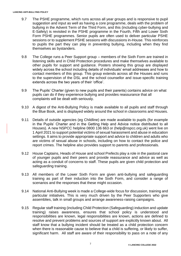- 9.7 The PSHE programme, which runs across all year groups and is responsive to pupil suggestion and input as well as having a core programme, deals with the problem of bullying in the Advent Term of the Third Form, and this (including cyber-bullying and E-Safety) is revisited in the PSHE programme in the Fourth, Fifth and Lower Sixth Form PSHE programmes. Senior pupils are often used to deliver particular PSHE sessions or to supplement PSHE sessions with discussions in-House. This reinforces to pupils the part they can play in preventing bullying, including when they find themselves as bystanders.
- 9.8 The College runs a Peer Support group members of the Sixth Form are trained in listening skills and in Child Protection procedures and make themselves available to other pupils for support and guidance. Posters showing this group are displayed widely across the school including details of individuals' email addresses and how to contact members of this group. This group extends across all the Houses and runs to the supervision of the DSL and the school counsellor and issue-specific training extends across the two years of their 'office'.
- 9.9 The Pupils' Charter (given to new pupils and their parents) contains advice on what pupils can do if they experience bullying and provides reassurance that all complaints will be dealt with seriously.
- 9.10 A digest of the Anti-Bullying Policy is made available to all pupils and staff through the Blue Book, and is displayed widely around the school in classrooms and Houses.
- 9.11 Details of outside agencies (eg Childline) are made available to pupils (for example in the Pupils' Charter and in the Getting Help and Advice notice distributed to all Houses). A new NSPCC helpline 0800 136 663 or (help@nspcc.org.uk) went live on 1 April 2021 to support potential victims of sexual harassment and abuse in education settings. It aims to provide appropriate support and advice to children and adults who are victims of sexual abuse in schools, including on how to contact the police and report crimes. The helpline also provides support to parents and professionals.
- 9.12 House Captains, Heads of House and school Prefects play a role in the pastoral care of younger pupils and their peers and provide reassurance and advice as well as acting as a conduit of concerns to staff. These pupils are given child protection and safeguarding training.
- 9.13 All members of the Lower Sixth Form are given anti-bullying and safeguarding training as part of their induction into the Sixth Form, and consider a range of scenarios and the responses that these might occasion.
- 9.14 National Anti-Bullying week is made a College-wide focus for discussion, training and particular initiatives. This is very much driven by the Peer Supporters who give assemblies, talk in small groups and arrange awareness-raising campaigns.
- 9.15 Regular staff training (including Child Protection (Safeguarding) induction and update training) raises awareness, ensures that school policy is understood and responsibilities are known, legal responsibilities are known, actions are defined to resolve and prevent problems and sources of support are explicitly known about. All staff know that a bullying incident should be treated as a child protection concern when there is reasonable cause to believe that a child is suffering, or likely to suffer, significant harm. All staff are aware of their responsibility to pass on a note of any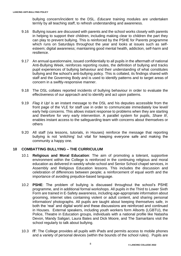bullying concern/incident to the DSL. *Educare* training modules are undertaken termly by all teaching staff, to refresh understanding and awareness.

- 9.16 Bullying issues are discussed with parents and the school works closely with parents in helping to support their children, including making clear to children the part they can play to prevent bullying. This is reinforced by the PSHE for Parents programme which runs on Saturdays throughout the year and looks at issues such as selfesteem; digital awareness; maintaining good mental health, addiction, self-harm and resilience.
- 9.17 An annual questionnaire, issued confidentially to all pupils in the aftermath of national Anti-Bullying Week, reinforces reporting routes, the definition of bullying and tracks pupil experiences of bullying behaviour and their understanding of what constitutes bullying and the school's anti-bullying policy. This is collated, its findings shared with staff and the Governing Body and is used to identify patterns and to target areas of concern in a swiftly-responsive manner.
- 9.18 The DSL collates reported incidents of bullying behaviour in order to evaluate the effectiveness of our approach and to identify and act upon patterns.
- 9.19 *Flag it Up!* is an instant message to the DSL and his deputies accessible from the front page of the VLE for staff use in order to communicate immediately low level/ early help concerns. This allows instant response to problems when they are starting and therefore for very early intervention. A parallel system for pupils, *Share It!,* enables instant access to the safeguarding team with concerns about themselves or others
- 9.20 All staff (via lessons, tutorials, in Houses) reinforce the message that reporting bullying is not 'snitching' but vital for keeping everyone safe and making the community a happy one.

#### **10 COMBATTING BULLYING – THE CURRICULUM**

- 10.1 **Religious and Moral Education**: The aim of promoting a tolerant, supportive environment within the College is reinforced in the continuing religious and moral education as delivered in weekly whole-school and Senior School chapel services, in Assembly and Religious Education lessons. This includes the discussion and celebration of differences between people; a reinforcement of equal worth and the importance of avoiding prejudice-based language.
- 10.2 **PSHE**: The problem of bullying is discussed throughout the school's PSHE programme, and in additional formal workshops. All pupils in the Third to Lower Sixth Form are trained in E-Safety awareness, including age-appropriate information about grooming, internet sites containing violent or adult content, and sharing personal information/ photographs. All pupils are taught about keeping themselves safe, in both the 'real' and digital world and these discussions are reinforced and continued in Houses. External speakers, including youth workers form Allsorts (LGBTU), the Police, Theatre in Education groups, individuals with a national profile like Natasha Devon, Mandy Saligari, Laura Bates and Dick Moore, and The Samaritans visit the school regularly to talk about bullying.
- 10.3 **IT**: The College provides all pupils with iPads and permits access to mobile phones and a variety of personal devices (within the bounds of the school rules). Pupils are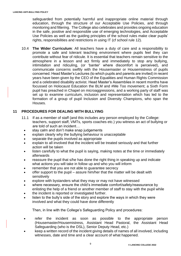safeguarded from potentially harmful and inappropriate online material through education, through the structure of our Acceptable Use Policies, and through monitoring and filtering. The College also celebrates and provides ongoing education in the safe, positive and responsible use of emerging technologies, and Acceptable Use Policies as well as the guiding principles of the school rules make clear pupils' rights, responsibilities and restrictions in using IT (cf school rule 12).

10.4 **The Wider Curriculum**: All teachers have a duty of care and a responsibility to promote a safe and tolerant teaching environment where pupils feel they can contribute without fear of ridicule. It is essential that teachers remain sensitive to the atmosphere in a lesson and act firmly and immediately to stop any bullying, intimidation and ridiculing, (or 'banter' where discomfort is perceived), and communicate concerns swiftly with the Housemaster or Housemistress of pupils concerned. Head Master's Lectures (to which pupils and parents are invited) in recent years have been given by the CEO of the Equalities and Human Rights Commission and a celebrated disability activist. Head Master's Assemblies in recent months have focussed on Holocaust Education the BLM and #Me Too movement; a Sixth Form pupil has preached in Chapel on microaggressions, and a working party of staff was set up to examine curriculum, inclusion and representation which has led to the formation of a group of pupil Inclusion and Diversity Champions, who span the Houses.

# **11 PROCEDURES FOR DEALING WITH BULLYING**

- 11.1 If as a member of staff (and this includes *any* person employed by the College: teachers, support staff, VMTs, sports coaches etc.) you witness an act of bullying or are told of such an incident…
	- stay calm and don't make snap judgements
	- explain clearly why the bullying behaviour is unacceptable
	- separate the pupils involved as appropriate
	- explain to all involved that the incident will be treated seriously and that further action will be taken
	- listen carefully to what the pupil is saying, making notes at the time or immediately afterwards
	- reassure the pupil that s/he has done the right thing in speaking up and indicate what actions you will take in follow up and who you will inform
	- remember that you are not able to quarantee secrecy
	- offer support to the pupil assure him/her that the matter will be dealt with sensitively
	- explore with bystanders what they may or may not have witnessed
	- where necessary, ensure the child's immediate comfort/safety/reassurance by enlisting the help of a friend or another member of staff to stay with the pupil while
	- the incident is reported or investigated further.
	- listen to the bully's side of the story and explore the ways in which they were involved and what they could have done differently

Then, in line with the College's Safeguarding Policy and procedures:

- refer the incident as soon as possible to the appropriate person (Housemaster/Housemistress, Assistant Head Pastoral, the Assistant Head Safeguarding (who is the DSL), Senior Deputy Head, etc.)
- keep a written record of the incident giving details of names of all involved, including witnesses, date and time and a clear account of what happened.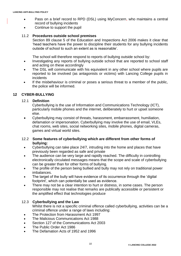- Pass on a brief record to RPD (DSL) using MyConcern, who maintains a central record of bullying incidents
- Continue to support the pupil

# 11.2 **Procedures outside school premises**

Section 89 clause 5 of the Education and Inspections Act 2006 makes it clear that 'head teachers have the power to discipline their students for any bullying incidents outside of school to such an extent as is reasonable'.

The school will therefore respond to reports of bullying outside school by:

- Investigating any reports of bullying outside school that are reported to school staff and acting on these accordingly
- The DSL will communicate with his equivalent in any other school where pupils are reported to be involved (as antagonists or victims) with Lancing College pupils in incidents
- If the misbehaviour is criminal or poses a serious threat to a member of the public, the police will be informed.

# **12 CYBER-BULLYING**

#### 12.1 **Definition**

Cyberbullying is the use of Information and Communications Technology (ICT), particularly mobile phones and the internet, deliberately to hurt or upset someone else.

• Cyberbullying may consist of threats, harassment, embarrassment, humiliation, defamation or impersonation. Cyberbullying may involve the use of email, VLEs, chat rooms, web sites, social networking sites, mobile phones, digital cameras, games and virtual world sites.

#### 12.2 **Some features of cyberbullying which are different from other forms of bullying:**

- Cyberbullying can take place 24/7, intruding into the home and places that have previously been regarded as safe and private
- The audience can be very large and rapidly reached. The difficulty in controlling electronically circulated messages means that the scope and scale of cyberbullying can be greater than for other forms of bullying.
- The profile of the person being bullied and bully may not rely on traditional power imbalances.
- The target of the bully will have evidence of its occurrence through the 'digital footprint', which can potentially be used as evidence.
- There may not be a clear intention to hurt or distress, in some cases. The person responsible may not realise that remarks are publically accessible or persistent or the amplified effect that technologies produce

#### 12.3 **Cyberbullying and the Law**

Whilst there is not a specific criminal offence called cyberbullying, activities can be a criminal offence under a range of laws including:

- The Protection from Harassment Act 1997
- The Malicious Communications Act 1988
- Section 127 of the Communications Act 2003
- The Public Order Act 1986
- The Defamation Acts of 1952 and 1996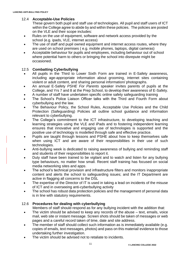# 12.4 **Acceptable-Use Policies**

These govern both pupil and staff use of technologies. All pupil and staff users of ICT within the College agree to abide by and within these policies. The policies are posted on the VLE and their scope includes:

- Rules on the use of equipment, software and network access provided by the school (e.g. ipads, VLE, internet access)
- The use of staff and pupil owned equipment and internet access routes, where they are used on school premises ( e.g. mobile phones, laptops, digital cameras)
- Acceptable behaviour for pupils and employees, including behaviour out of school where potential harm to others or bringing the school into disrepute might be occasioned.

#### 12.5 **Combatting Cyberbullying**

- All pupils in the Third to Lower Sixth Form are trained in E-Safety awareness, including age-appropriate information about grooming, internet sites containing violent or adult content, and sharing personal information/ photographs.
- An annual E-Safety *PSHE For Parents* speaker invites parents of pupils at the College, and Yrs 7 and 8 at the Prep School, to develop their awareness of E-Safety.
- A number of staff have undertaken specific online safety safeguarding training
- The School's Police Liaison Officer talks with the Third and Fourth Form about cyberbullying and the law.
- The Behaviour Policy, the School Rules, Acceptable Use Policies and the Child Protection (Safeguarding) Policies all outline school guidance and information relevant to cyberbullying.
- The College's commitment to the ICT infrastructure, to developing teaching and learning strategies using the VLE and iPads and to fostering independent learning ensures that innovative and engaging use of technologies is supported and the positive use of technology is modelled through safe and effective practice.
- Pupils are taught through lessons and PSHE about how to keep themselves safe when using ICT and are aware of their responsibilities in their use of such technologies.
- Anti-bullying week is dedicated to raising awareness of bullying and reminding staff and students of their responsibilities to report it.
- Duty staff have been trained to be vigilant and to watch and listen for any bullying type behaviours, no matter how small. Recent staff training has focused on social media networking sites and apps.
- The school's technical provision and infrastructure filters and monitors inappropriate content and alerts the school to safeguarding issues; and the IT Department are active in flagging all concerns to the DSL
- The expertise of the Director of IT is used in taking a lead on incidents of the misuse of ICT and in overseeing anti-cyberbullying activity
- The school has robust data protection policies and the management of personal data is in line with statutory requirements.

# 12.6 **Procedures for dealing with cyberbullying**

Members of staff should respond as for any bullying incident with the addition that:

- The victim should be advised to keep any records of the abuse  $-$  text, emails, voice mail, web site or instant message. Screen shots should be taken of messages or web pages and a careful record taken of time, date and site address.
- The member of staff should collect such information as is immediately available (e.g. copies of emails, text messages, photos) and pass on this material/ evidence to those undertaking further investigation.
- The victim should be advised not to retaliate to incidents.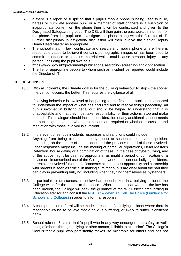- If there is a report or suspicion that a pupil's mobile phone is being used to bully, harass or humiliate another pupil or a member of staff or there is a suspicion of inappropriate content on the phone then it will be confiscated and given to the Designated Safeguarding Lead. The DSL will then gain the password/pin number for the phone from the pupil and investigate the phone along with the Director of IT. Further disciplinary investigation/ discussion will then involve the Senior Deputy Head/ Head Master as appropriate.
- The school may, in law, confiscate and search any mobile phone where there is reasonable cause to believe it contains pornographic images or has been used to commit an offence or contains material which could cause personal injury to any person (including the pupil owning it.)
- https://www.gov.uk/government/publications/searching-screening-and-confiscation
- The list of appropriate people to whom such an incident be reported would include the Director of IT.

# **13 RESPONSES**

13.1 With all incidents, the ultimate goal is for the bullying behaviour to stop - the sooner intervention occurs, the better. This requires the vigilance of all.

If bullying behaviour is low level or happening for the first time, pupils are supported to understand the impact of what has occurred and to resolve things peacefully. All pupils involved in bullying behaviour should be helped to understand that it is unacceptable and that they must take responsibility for their actions, stop and make amends. This dialogue should include consideration of any additional support needs the pupil might have and whether sanctions are required or whether discussion and mediation with those involved is sufficient.

- 13.2 In the event of serious incidents responses and sanctions could include:
	- Anything from being placed on hourly report to suspension or even expulsion, depending on the nature of the incident and the previous record of those involved. Other responses might include the making of particular reparations, Head Master's Detention, house gating or a combination of these. In the case of cyberbullying, any of the above might be deemed appropriate, as might a period of confiscation of a device or circumscribed use of the College network. In all serious bullying incidents, parents are involved / informed of concerns at the earliest opportunity and partnership with parents is seen as crucial in making sure that pupils are clear about the part they can play in preventing bullying, including when they find themselves as bystanders.
- 13.3 In particular circumstances, if the law has been broken in a bullying incident, the College will refer the matter to the police. Where it is unclear whether the law has been broken, the College will seek the guidance of the W Sussex Safeguarding in Education advisor and consult the NSPCC – [When To Call The Police \(Guidance for](https://www.npcc.police.uk/documents/Children%20and%20Young%20people/When%20to%20call%20the%20police%20guidance%20for%20schools%20and%20colleges.pdf)  [Schools and Colleges\)](https://www.npcc.police.uk/documents/Children%20and%20Young%20people/When%20to%20call%20the%20police%20guidance%20for%20schools%20and%20colleges.pdf) in order to inform a response.
- 13.4 A child protection referral will be made in respect of a bullying incident where there is reasonable cause to believe that a child is suffering, or likely to suffer, significant harm.
- 13.5 School rule no. 8 states that 'a pupil who in any way endangers the safety or wellbeing of others, through bullying or other means, is liable to expulsion'. The College's view is that a pupil who persistently makes life miserable for others and has not